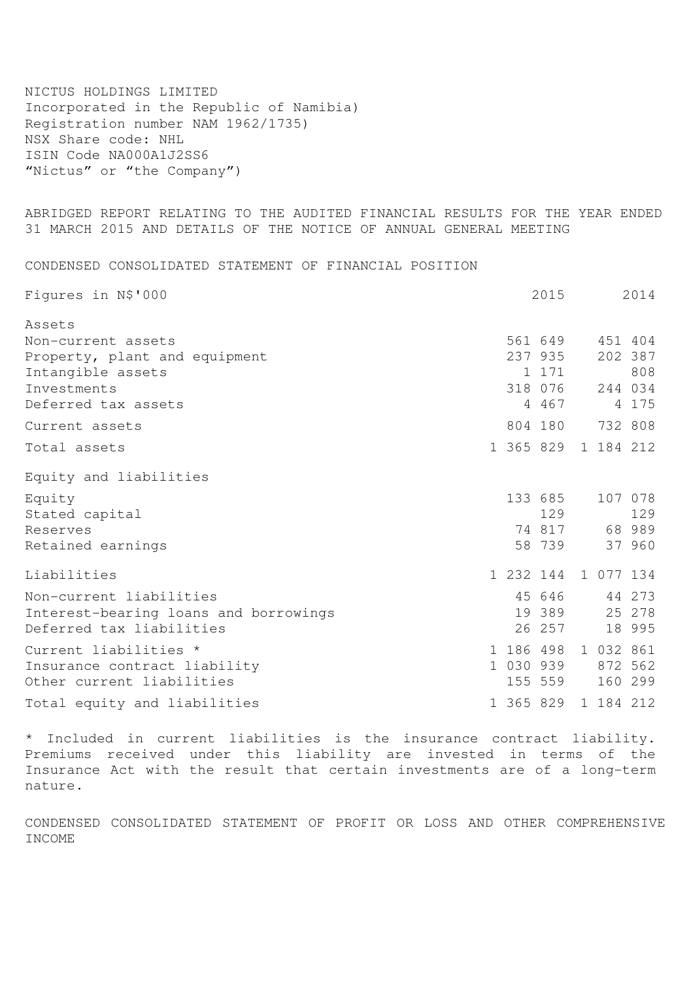NICTUS HOLDINGS LIMITED Incorporated in the Republic of Namibia) Registration number NAM 1962/1735) NSX Share code: NHL ISIN Code NA000A1J2SS6 "Nictus" or "the Company")

ABRIDGED REPORT RELATING TO THE AUDITED FINANCIAL RESULTS FOR THE YEAR ENDED 31 MARCH 2015 AND DETAILS OF THE NOTICE OF ANNUAL GENERAL MEETING

CONDENSED CONSOLIDATED STATEMENT OF FINANCIAL POSITION

| Figures in N\$'000                                                                           | 2015                                        |                                    |  |
|----------------------------------------------------------------------------------------------|---------------------------------------------|------------------------------------|--|
| Assets                                                                                       |                                             |                                    |  |
| Non-current assets<br>Property, plant and equipment<br>Intangible assets                     | 561 649<br>237 935<br>1 171                 | 451 404<br>202 387<br>808          |  |
| Investments<br>Deferred tax assets                                                           | 318 076<br>4 467                            | 244 034<br>4 175                   |  |
| Current assets                                                                               | 804 180                                     | 732 808                            |  |
| Total assets                                                                                 |                                             | 1 365 829 1 184 212                |  |
| Equity and liabilities                                                                       |                                             |                                    |  |
| Equity<br>Stated capital<br>Reserves<br>Retained earnings                                    | 133 685<br>129<br>74 817<br>58 739          | 107 078<br>129<br>68 989<br>37 960 |  |
| Liabilities                                                                                  |                                             | 1 232 144 1 077 134                |  |
| Non-current liabilities<br>Interest-bearing loans and borrowings<br>Deferred tax liabilities | 45 646<br>19 389<br>26 257                  | 44 273<br>25 278<br>18 995         |  |
| Current liabilities *<br>Insurance contract liability<br>Other current liabilities           | 1 186 498 1 032 861<br>1 030 939<br>155 559 | 872 562<br>160 299                 |  |
| Total equity and liabilities                                                                 | 1 365 829 1 184 212                         |                                    |  |

\* Included in current liabilities is the insurance contract liability. Premiums received under this liability are invested in terms of the Insurance Act with the result that certain investments are of a long-term nature.

CONDENSED CONSOLIDATED STATEMENT OF PROFIT OR LOSS AND OTHER COMPREHENSIVE INCOME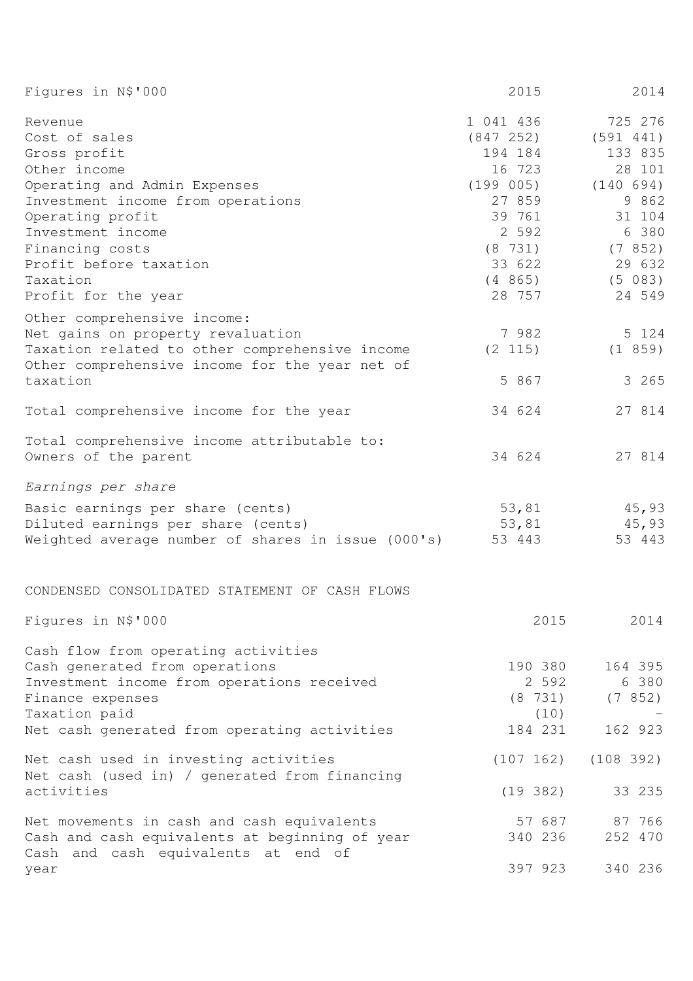| Figures in N\$'000                                                                                                                                                                                                                                     | 2015                                                                                                                           | 2014                                                                                                                        |
|--------------------------------------------------------------------------------------------------------------------------------------------------------------------------------------------------------------------------------------------------------|--------------------------------------------------------------------------------------------------------------------------------|-----------------------------------------------------------------------------------------------------------------------------|
| Revenue<br>Cost of sales<br>Gross profit<br>Other income<br>Operating and Admin Expenses<br>Investment income from operations<br>Operating profit<br>Investment income<br>Financing costs<br>Profit before taxation<br>Taxation<br>Profit for the year | 1 041 436<br>(847 252)<br>194 184<br>16 723<br>(199 005)<br>27 859<br>39 761<br>2 592<br>(8 731)<br>33 622<br>(4865)<br>28 757 | 725 276<br>(591 441)<br>133 835<br>28 101<br>(140 694)<br>9 862<br>31 104<br>6 380<br>(7852)<br>29 632<br>(5 083)<br>24 549 |
| Other comprehensive income:<br>Net gains on property revaluation<br>Taxation related to other comprehensive income<br>Other comprehensive income for the year net of<br>taxation                                                                       | 7982<br>(2 115)<br>5 867                                                                                                       | 5 124<br>(1 859)<br>3 265                                                                                                   |
| Total comprehensive income for the year                                                                                                                                                                                                                | 34 624                                                                                                                         | 27 814                                                                                                                      |
| Total comprehensive income attributable to:<br>Owners of the parent                                                                                                                                                                                    | 34 624                                                                                                                         | 27 814                                                                                                                      |
| Earnings per share                                                                                                                                                                                                                                     |                                                                                                                                |                                                                                                                             |
| Basic earnings per share (cents)<br>Diluted earnings per share (cents)<br>Weighted average number of shares in issue (000's)                                                                                                                           | 53,81<br>53,81<br>53 443                                                                                                       | 45,93<br>45,93<br>53 443                                                                                                    |
| CONDENSED CONSOLIDATED STATEMENT OF CASH FLOWS                                                                                                                                                                                                         |                                                                                                                                |                                                                                                                             |
| Figures in N\$'000                                                                                                                                                                                                                                     | 2015                                                                                                                           | 2014                                                                                                                        |
| Cash flow from operating activities<br>Cash generated from operations<br>Investment income from operations received<br>Finance expenses<br>Taxation paid<br>Net cash generated from operating activities                                               | 190 380<br>2 5 9 2<br>(8 731)<br>(10)<br>184 231                                                                               | 164 395<br>6 380<br>(7852)<br>162 923                                                                                       |
| Net cash used in investing activities                                                                                                                                                                                                                  | (107 162)                                                                                                                      | (108 392)                                                                                                                   |
| Net cash (used in) / generated from financing<br>activities                                                                                                                                                                                            | (19 382)                                                                                                                       | 33 235                                                                                                                      |
| Net movements in cash and cash equivalents<br>Cash and cash equivalents at beginning of year<br>Cash and cash equivalents at end of                                                                                                                    | 57 687<br>340 236                                                                                                              | 87 766<br>252 470                                                                                                           |
| year                                                                                                                                                                                                                                                   | 397 923                                                                                                                        | 340 236                                                                                                                     |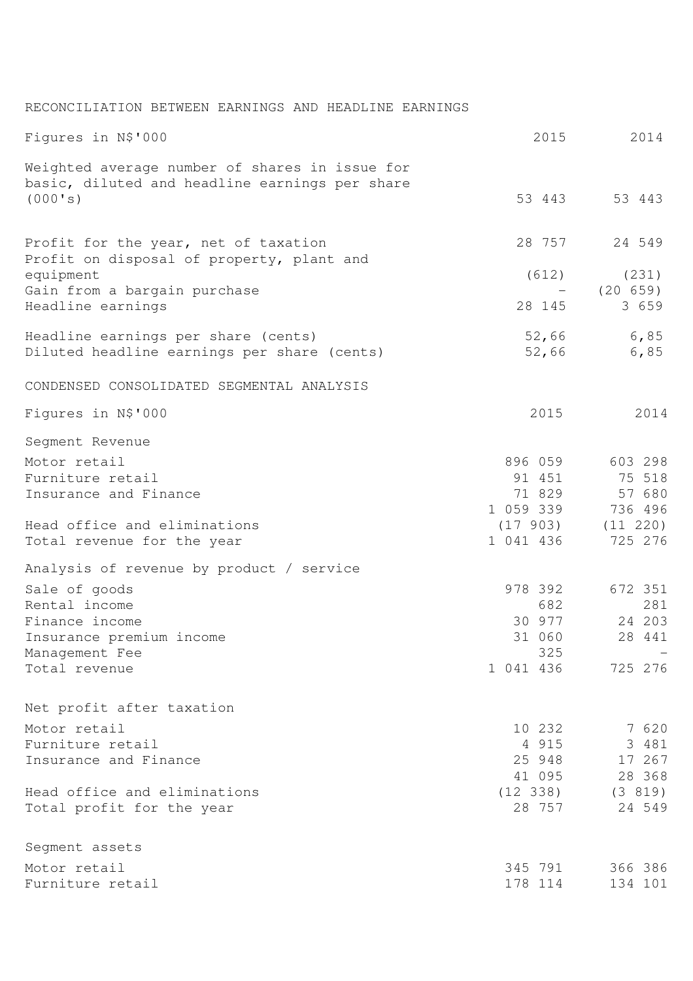| RECONCILIATION BETWEEN EARNINGS AND HEADLINE EARNINGS |  |  |  |  |  |  |
|-------------------------------------------------------|--|--|--|--|--|--|
|-------------------------------------------------------|--|--|--|--|--|--|

| Figures in N\$'000                                                                               | 2015         | 2014                |
|--------------------------------------------------------------------------------------------------|--------------|---------------------|
| Weighted average number of shares in issue for<br>basic, diluted and headline earnings per share |              |                     |
| (000's)                                                                                          |              | 53 443 53 443       |
| Profit for the year, net of taxation<br>Profit on disposal of property, plant and                | 28 757       | 24 549              |
| equipment                                                                                        | (612)        | (231)               |
| Gain from a bargain purchase                                                                     |              | (20 659)            |
| Headline earnings                                                                                | 28 145       | 3 659               |
| Headline earnings per share (cents)                                                              |              | 52,66 6,85          |
| Diluted headline earnings per share (cents)                                                      | 52,66        | 6,85                |
| CONDENSED CONSOLIDATED SEGMENTAL ANALYSIS                                                        |              |                     |
| Figures in N\$'000                                                                               | 2015         | 2014                |
| Segment Revenue                                                                                  |              |                     |
| Motor retail                                                                                     | 896 059      | 603 298             |
| Furniture retail                                                                                 | 91 451       | 75 518              |
| Insurance and Finance                                                                            | 71 829       | 57 680              |
|                                                                                                  | 1 059 339    | 736 496             |
| Head office and eliminations                                                                     |              | $(17903)$ $(11220)$ |
| Total revenue for the year                                                                       | 1 041 436    | 725 276             |
| Analysis of revenue by product / service                                                         |              |                     |
| Sale of goods                                                                                    | 978 392      | 672 351             |
| Rental income                                                                                    | 682          | 281                 |
| Finance income                                                                                   | 30 977       | 24 203              |
| Insurance premium income                                                                         | 31 060       | 28 441              |
| Management Fee                                                                                   | 325          |                     |
| Total revenue                                                                                    | 1 041 436    | 725 276             |
| Net profit after taxation                                                                        |              |                     |
| Motor retail                                                                                     | 10 232       | 7 620               |
| Furniture retail                                                                                 | 4 9 1 5      | 3 481               |
| Insurance and Finance                                                                            | 25 948       | 17 267              |
|                                                                                                  | 41 095       | 28 368              |
| Head office and eliminations                                                                     | $(12 \t338)$ | (3 819)             |
| Total profit for the year                                                                        | 28 757       | 24 549              |
| Segment assets                                                                                   |              |                     |
| Motor retail                                                                                     | 345 791      | 366 386             |
| Furniture retail                                                                                 | 178 114      | 134 101             |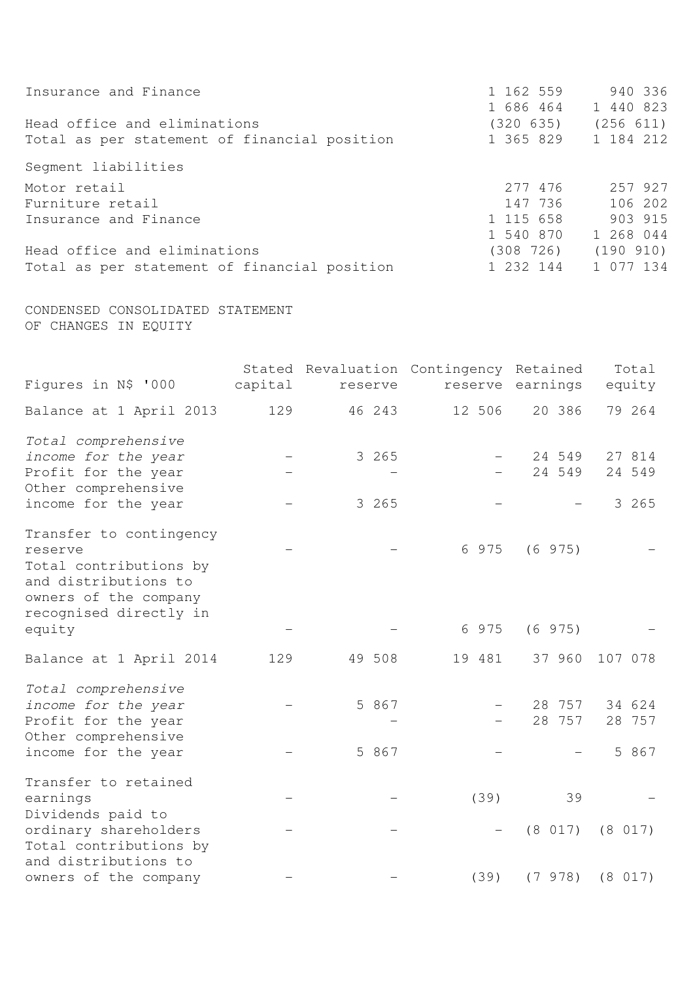| Insurance and Finance                        | 1 162 559<br>1 686 464 | 940 336<br>1 440 823 |
|----------------------------------------------|------------------------|----------------------|
| Head office and eliminations                 | (320 635)              | (256 611)            |
| Total as per statement of financial position | 1 365 829 1 184 212    |                      |
| Segment liabilities                          |                        |                      |
| Motor retail                                 | 277 476                | 257 927              |
| Furniture retail                             | 147 736                | 106 202              |
| Insurance and Finance                        | 1 115 658              | 903 915              |
|                                              | 1 540 870              | 1 268 044            |
| Head office and eliminations                 | (308 726)              | (190 910)            |
| Total as per statement of financial position | 1 232 144              | 1 077 134            |

CONDENSED CONSOLIDATED STATEMENT OF CHANGES IN EQUITY

| Figures in N\$ '000                                                                                             | capital | reserve        | Stated Revaluation Contingency Retained<br>reserve | earnings         | Total<br>equity           |
|-----------------------------------------------------------------------------------------------------------------|---------|----------------|----------------------------------------------------|------------------|---------------------------|
| Balance at 1 April 2013                                                                                         | 129     | 46 243         | 12 506                                             | 20 386           | 79 264                    |
| Total comprehensive<br>income for the year<br>Profit for the year                                               |         | 3 265          |                                                    | 24 549<br>24 549 | 27 814<br>24 549          |
| Other comprehensive<br>income for the year                                                                      |         | 3 265          |                                                    |                  | 3 265                     |
| Transfer to contingency<br>reserve<br>Total contributions by<br>and distributions to<br>owners of the company   |         |                | 6 975                                              | (6975)           |                           |
| recognised directly in<br>equity                                                                                |         |                | 6 975                                              | (6975)           |                           |
| Balance at 1 April 2014                                                                                         | 129     | 49 508         | 19 481                                             | 37 960           | 107 078                   |
| Total comprehensive<br>income for the year<br>Profit for the year<br>Other comprehensive<br>income for the year |         | 5 867<br>5 867 |                                                    | 28 757<br>28 757 | 34 624<br>28 757<br>5 867 |
| Transfer to retained<br>earnings                                                                                |         |                | (39)                                               | 39               |                           |
| Dividends paid to<br>ordinary shareholders<br>Total contributions by                                            |         |                |                                                    | (8 017)          | (8 017)                   |
| and distributions to<br>owners of the company                                                                   |         |                | (39)                                               | (7978)           | (8 017)                   |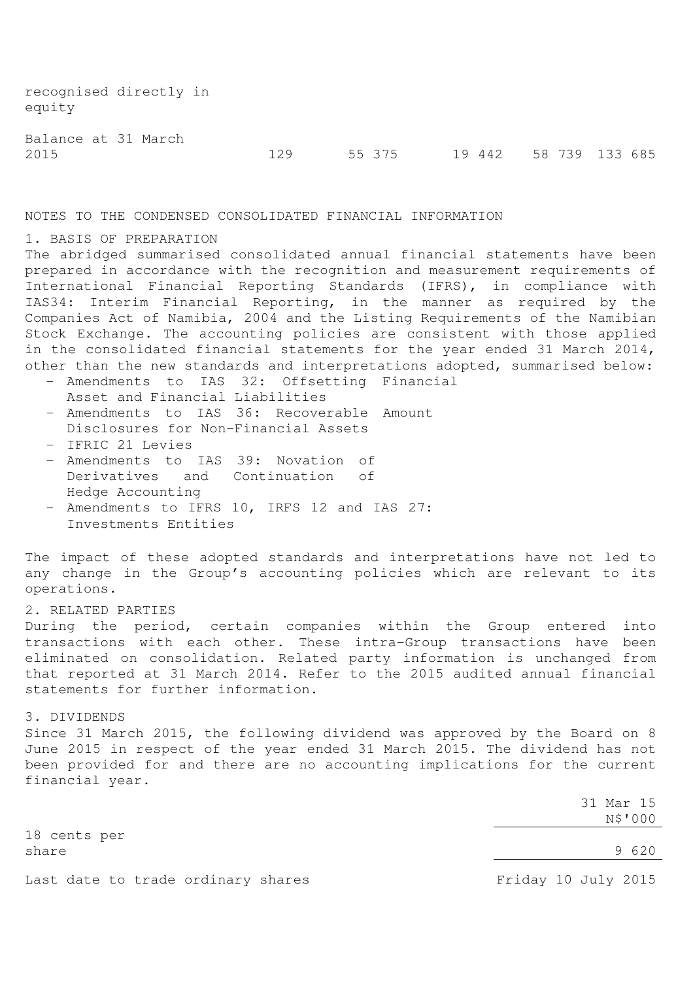recognised directly in equity

Balance at 31 March

2015 129 55 375 19 442 58 739 133 685

NOTES TO THE CONDENSED CONSOLIDATED FINANCIAL INFORMATION

## 1. BASIS OF PREPARATION

The abridged summarised consolidated annual financial statements have been prepared in accordance with the recognition and measurement requirements of International Financial Reporting Standards (IFRS), in compliance with IAS34: Interim Financial Reporting, in the manner as required by the Companies Act of Namibia, 2004 and the Listing Requirements of the Namibian Stock Exchange. The accounting policies are consistent with those applied in the consolidated financial statements for the year ended 31 March 2014, other than the new standards and interpretations adopted, summarised below:

- Amendments to IAS 32: Offsetting Financial Asset and Financial Liabilities
- Amendments to IAS 36: Recoverable Amount Disclosures for Non-Financial Assets
- IFRIC 21 Levies
- Amendments to IAS 39: Novation of Derivatives and Continuation of Hedge Accounting
- Amendments to IFRS 10, IRFS 12 and IAS 27: Investments Entities

The impact of these adopted standards and interpretations have not led to any change in the Group's accounting policies which are relevant to its operations.

## 2. RELATED PARTIES

During the period, certain companies within the Group entered into transactions with each other. These intra-Group transactions have been eliminated on consolidation. Related party information is unchanged from that reported at 31 March 2014. Refer to the 2015 audited annual financial statements for further information.

# 3. DIVIDENDS

Since 31 March 2015, the following dividend was approved by the Board on 8 June 2015 in respect of the year ended 31 March 2015. The dividend has not been provided for and there are no accounting implications for the current financial year.

> 31 Mar 15 N\$'000

18 cents per share 9 620

Last date to trade ordinary shares The Manusculi Resolution of Friday 10 July 2015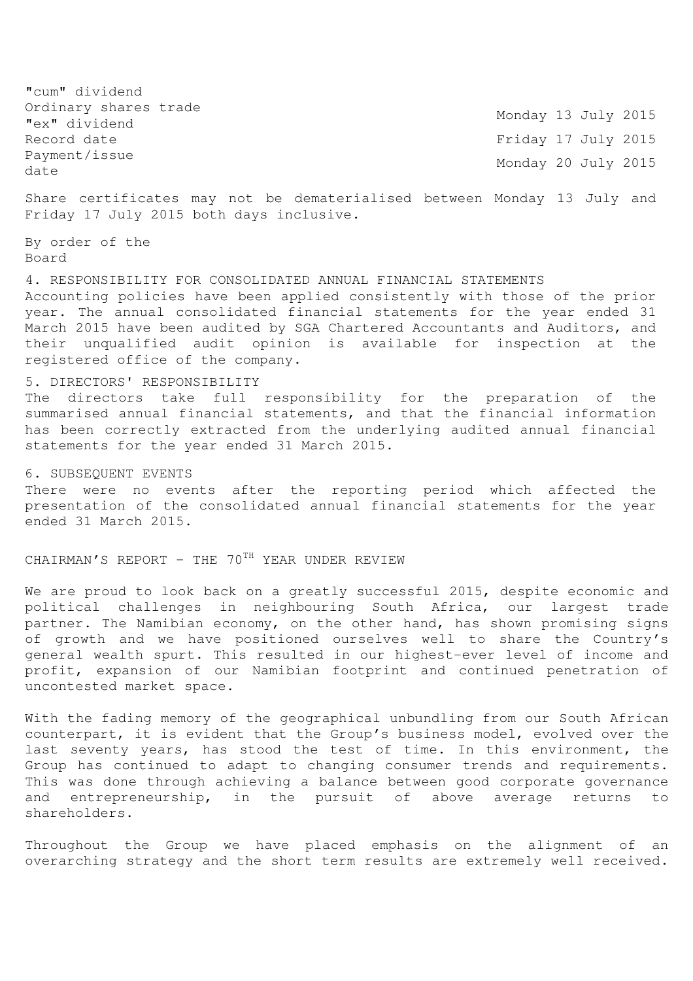"cum" dividend Ordinary shares trade Urdinary Shares Crade<br>"ex" dividend Monday 13 July 2015 Record date Friday 17 July 2015 Payment/issue Payment/Issue<br>date Monday 20 July 2015

Share certificates may not be dematerialised between Monday 13 July and Friday 17 July 2015 both days inclusive.

By order of the Board

4. RESPONSIBILITY FOR CONSOLIDATED ANNUAL FINANCIAL STATEMENTS Accounting policies have been applied consistently with those of the prior year. The annual consolidated financial statements for the year ended 31 March 2015 have been audited by SGA Chartered Accountants and Auditors, and their unqualified audit opinion is available for inspection at the registered office of the company.

# 5. DIRECTORS' RESPONSIBILITY

The directors take full responsibility for the preparation of the summarised annual financial statements, and that the financial information has been correctly extracted from the underlying audited annual financial statements for the year ended 31 March 2015.

#### 6. SUBSEQUENT EVENTS

There were no events after the reporting period which affected the presentation of the consolidated annual financial statements for the year ended 31 March 2015.

CHAIRMAN'S REPORT - THE  $70^{TH}$  YEAR UNDER REVIEW

We are proud to look back on a greatly successful 2015, despite economic and political challenges in neighbouring South Africa, our largest trade partner. The Namibian economy, on the other hand, has shown promising signs of growth and we have positioned ourselves well to share the Country's general wealth spurt. This resulted in our highest-ever level of income and profit, expansion of our Namibian footprint and continued penetration of uncontested market space.

With the fading memory of the geographical unbundling from our South African counterpart, it is evident that the Group's business model, evolved over the last seventy years, has stood the test of time. In this environment, the Group has continued to adapt to changing consumer trends and requirements. This was done through achieving a balance between good corporate governance and entrepreneurship, in the pursuit of above average returns to shareholders.

Throughout the Group we have placed emphasis on the alignment of an overarching strategy and the short term results are extremely well received.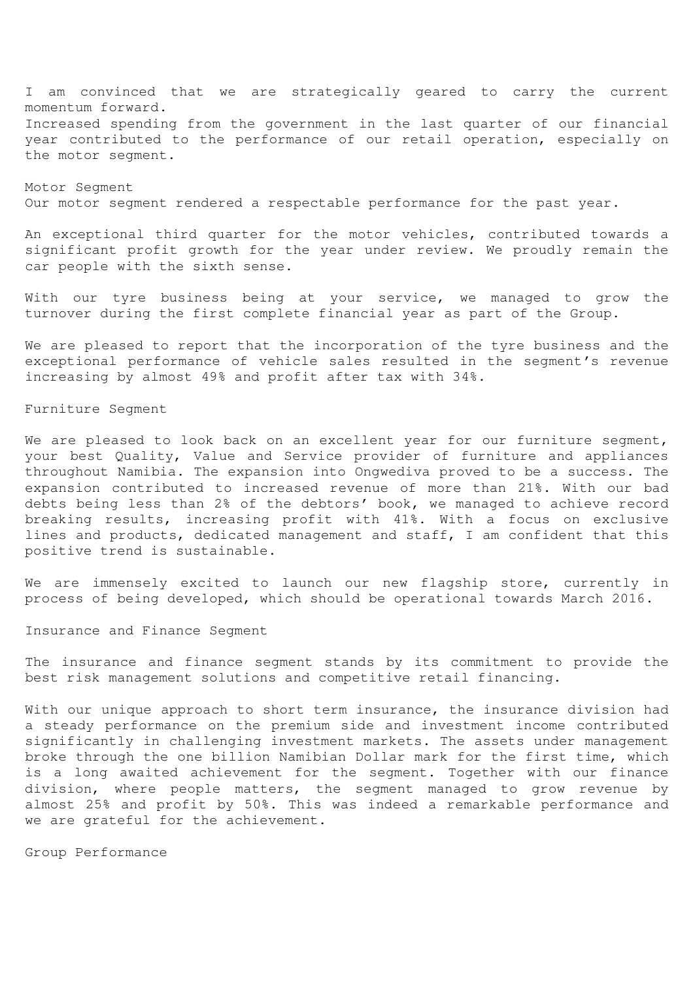I am convinced that we are strategically geared to carry the current momentum forward. Increased spending from the government in the last quarter of our financial year contributed to the performance of our retail operation, especially on the motor segment.

Motor Segment Our motor segment rendered a respectable performance for the past year.

An exceptional third quarter for the motor vehicles, contributed towards a significant profit growth for the year under review. We proudly remain the car people with the sixth sense.

With our tyre business being at your service, we managed to grow the turnover during the first complete financial year as part of the Group.

We are pleased to report that the incorporation of the tyre business and the exceptional performance of vehicle sales resulted in the segment's revenue increasing by almost 49% and profit after tax with 34%.

#### Furniture Segment

We are pleased to look back on an excellent year for our furniture segment, your best Quality, Value and Service provider of furniture and appliances throughout Namibia. The expansion into Ongwediva proved to be a success. The expansion contributed to increased revenue of more than 21%. With our bad debts being less than 2% of the debtors' book, we managed to achieve record breaking results, increasing profit with 41%. With a focus on exclusive lines and products, dedicated management and staff, I am confident that this positive trend is sustainable.

We are immensely excited to launch our new flagship store, currently in process of being developed, which should be operational towards March 2016.

Insurance and Finance Segment

The insurance and finance segment stands by its commitment to provide the best risk management solutions and competitive retail financing.

With our unique approach to short term insurance, the insurance division had a steady performance on the premium side and investment income contributed significantly in challenging investment markets. The assets under management broke through the one billion Namibian Dollar mark for the first time, which is a long awaited achievement for the segment. Together with our finance division, where people matters, the segment managed to grow revenue by almost 25% and profit by 50%. This was indeed a remarkable performance and we are grateful for the achievement.

Group Performance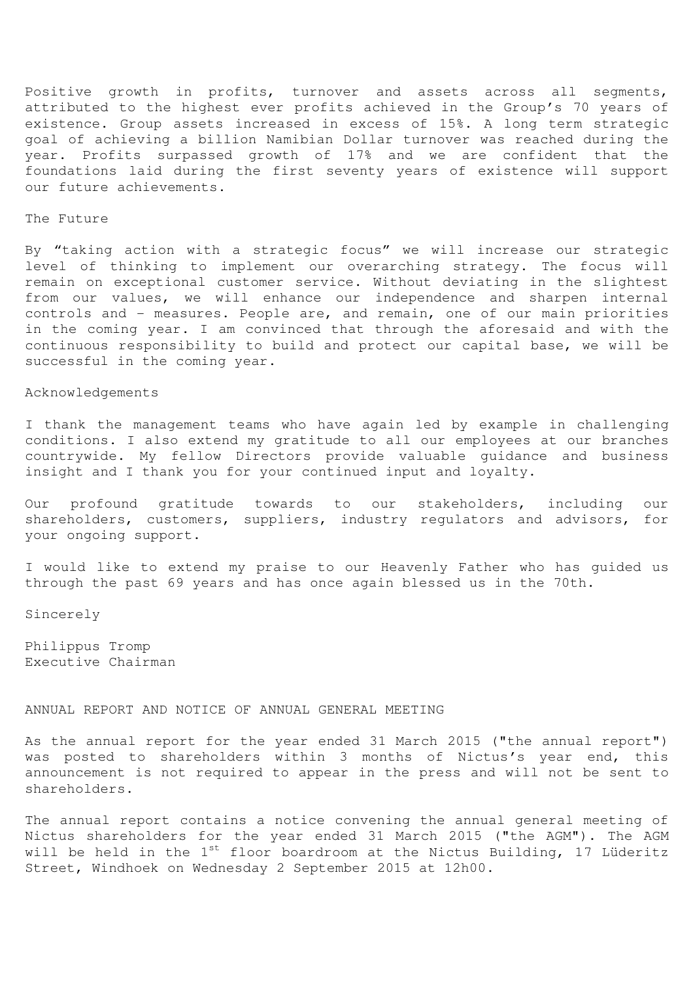Positive growth in profits, turnover and assets across all segments, attributed to the highest ever profits achieved in the Group's 70 years of existence. Group assets increased in excess of 15%. A long term strategic goal of achieving a billion Namibian Dollar turnover was reached during the year. Profits surpassed growth of 17% and we are confident that the foundations laid during the first seventy years of existence will support our future achievements.

#### The Future

By "taking action with a strategic focus" we will increase our strategic level of thinking to implement our overarching strategy. The focus will remain on exceptional customer service. Without deviating in the slightest from our values, we will enhance our independence and sharpen internal controls and - measures. People are, and remain, one of our main priorities in the coming year. I am convinced that through the aforesaid and with the continuous responsibility to build and protect our capital base, we will be successful in the coming year.

## Acknowledgements

I thank the management teams who have again led by example in challenging conditions. I also extend my gratitude to all our employees at our branches countrywide. My fellow Directors provide valuable guidance and business insight and I thank you for your continued input and loyalty.

Our profound gratitude towards to our stakeholders, including our shareholders, customers, suppliers, industry requlators and advisors, for your ongoing support.

I would like to extend my praise to our Heavenly Father who has guided us through the past 69 years and has once again blessed us in the 70th.

Sincerely

Philippus Tromp Executive Chairman

## ANNUAL REPORT AND NOTICE OF ANNUAL GENERAL MEETING

As the annual report for the year ended 31 March 2015 ("the annual report") was posted to shareholders within 3 months of Nictus's year end, this announcement is not required to appear in the press and will not be sent to shareholders.

The annual report contains a notice convening the annual general meeting of Nictus shareholders for the year ended 31 March 2015 ("the AGM"). The AGM will be held in the 1<sup>st</sup> floor boardroom at the Nictus Building, 17 Lüderitz Street, Windhoek on Wednesday 2 September 2015 at 12h00.